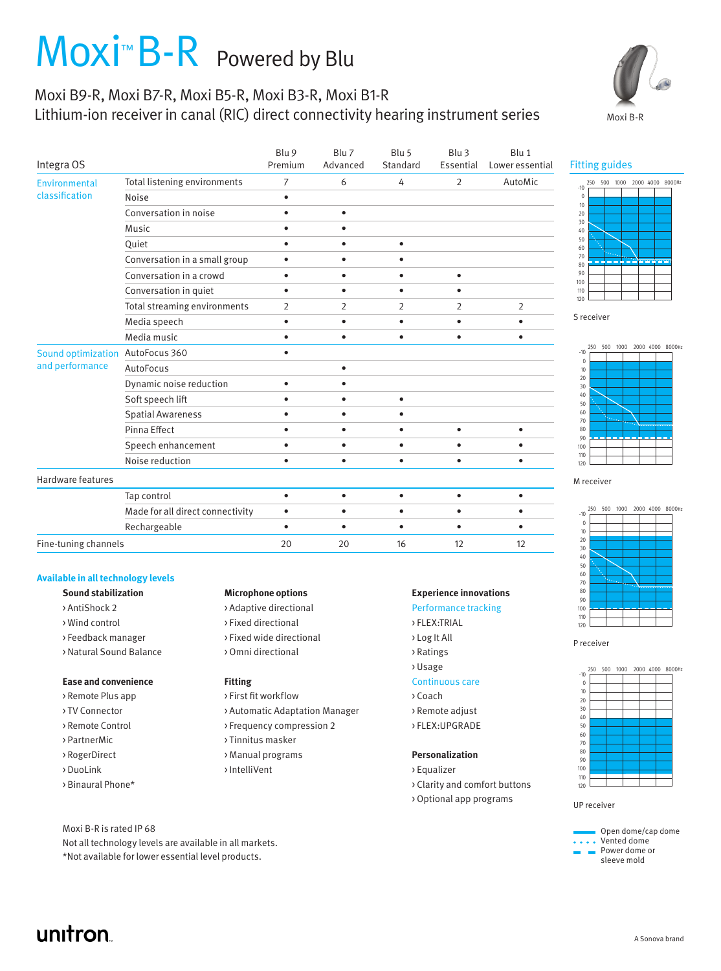# Moxi<sup>™</sup> B-R Powered by Blu

## Moxi B9-R, Moxi B7-R, Moxi B5-R, Moxi B3-R, Moxi B1-R Lithium-ion receiver in canal (RIC) direct connectivity hearing instrument series



| Integra OS                            |                                  | Blu 9<br>Premium | Blu 7<br>Advanced | Blu 5<br>Standard | Blu 3<br>Essential | Blu 1<br>Lower essential |
|---------------------------------------|----------------------------------|------------------|-------------------|-------------------|--------------------|--------------------------|
| Environmental<br>classification       | Total listening environments     | $\overline{7}$   | 6                 | 4                 | $\overline{2}$     | AutoMic                  |
|                                       | Noise                            | $\bullet$        |                   |                   |                    |                          |
|                                       | Conversation in noise            | ٠                | $\bullet$         |                   |                    |                          |
|                                       | <b>Music</b>                     | ٠                | ٠                 |                   |                    |                          |
|                                       | Quiet                            | $\bullet$        | ٠                 | $\bullet$         |                    |                          |
|                                       | Conversation in a small group    | $\bullet$        |                   |                   |                    |                          |
|                                       | Conversation in a crowd          | $\bullet$        | ٠                 | ٠                 | ٠                  |                          |
|                                       | Conversation in quiet            | ٠                | ٠                 | ٠                 |                    |                          |
|                                       | Total streaming environments     | $\overline{2}$   | $\overline{2}$    | $\overline{2}$    | $\overline{2}$     | 2                        |
|                                       | Media speech                     | $\bullet$        | $\bullet$         | $\bullet$         | $\bullet$          | $\bullet$                |
|                                       | Media music                      | $\bullet$        | ٠                 | $\bullet$         | $\bullet$          | $\bullet$                |
| Sound optimization<br>and performance | AutoFocus 360                    | ٠                |                   |                   |                    |                          |
|                                       | AutoFocus                        |                  | ٠                 |                   |                    |                          |
|                                       | Dynamic noise reduction          | ٠                |                   |                   |                    |                          |
|                                       | Soft speech lift                 |                  |                   | $\bullet$         |                    |                          |
|                                       | <b>Spatial Awareness</b>         | ٠                | ٠                 | $\bullet$         |                    |                          |
|                                       | Pinna Effect                     | $\bullet$        | $\bullet$         | $\bullet$         | $\bullet$          | $\bullet$                |
|                                       | Speech enhancement               | ٠                | ٠                 | $\bullet$         |                    | $\bullet$                |
|                                       | Noise reduction                  | $\bullet$        | ٠                 | $\bullet$         | $\bullet$          | $\bullet$                |
| Hardware features                     |                                  |                  |                   |                   |                    |                          |
|                                       | Tap control                      | $\bullet$        | $\bullet$         | $\bullet$         | $\bullet$          | $\bullet$                |
|                                       | Made for all direct connectivity | $\bullet$        | ٠                 | $\bullet$         |                    | ٠                        |
|                                       | Rechargeable                     | $\bullet$        | $\bullet$         | $\bullet$         | $\bullet$          | $\bullet$                |
| Fine-tuning channels                  |                                  | 20               | 20                | 16                | 12                 | 12                       |

### **Available in all technology levels**

- 
- 
- > Feedback manager > Fixed wide directional > Log It All
- > Natural Sound Balance > Omni directional > > > Ratings

## **Ease and convenience Fitting Fitting** Continuous care

- > Remote Plus app > First fit workflow > Foreign > Coach
- 
- 
- 
- 
- 

unitron

## Moxi B-R is rated IP 68

Not all technology levels are available in all markets. \*Not available for lower essential level products.

## **Sound stabilization Microphone options Experience innovations**

- > AntiShock 2 > > Adaptive directional > > Performance tracking
- > Wind control > Fixed directional > FLEX:TRIAL
	-
	-

- 
- > TV Connector > Automatic Adaptation Manager > Remote adjust
- > Remote Control > Frequency compression 2 > FLEX: UPGRADE
- > PartnerMic > Tinnitus masker
- > RogerDirect > Manual programs **Personalization**
- > DuoLink > IntelliVent > Equalizer

- 
- 
- 
- 
- > Usage
- 
- 
- 
- 

- 
- > Binaural Phone\* > Clarity and comfort buttons
	- > Optional app programs

Fitting guides







M receiver







UP receiver



A Sonova brand